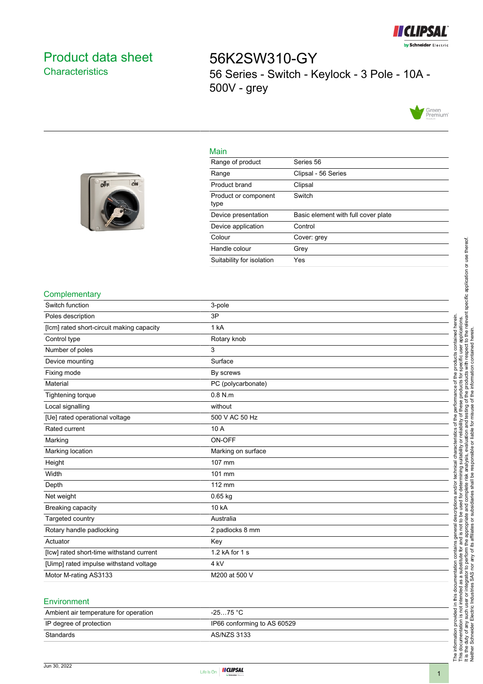

# <span id="page-0-0"></span>Product data sheet **Characteristics**

off

ON

56K2SW310-GY 56 Series - Switch - Keylock - 3 Pole - 10A - 500V - grey



#### Main

| Range of product             | Series 56                           |
|------------------------------|-------------------------------------|
| Range                        | Clipsal - 56 Series                 |
| Product brand                | Clipsal                             |
| Product or component<br>type | Switch                              |
| Device presentation          | Basic element with full cover plate |
| Device application           | Control                             |
| Colour                       | Cover: grey                         |
| Handle colour                | Grey                                |
| Suitability for isolation    | Yes                                 |
|                              |                                     |

#### **Complementary**

| Switch function                           | 3-pole             |
|-------------------------------------------|--------------------|
| Poles description                         | 3P                 |
| [lcm] rated short-circuit making capacity | 1 kA               |
| Control type                              | Rotary knob        |
| Number of poles                           | 3                  |
| Device mounting                           | Surface            |
| Fixing mode                               | By screws          |
| Material                                  | PC (polycarbonate) |
| Tightening torque                         | $0.8$ N.m          |
| Local signalling                          | without            |
| [Ue] rated operational voltage            | 500 V AC 50 Hz     |
| Rated current                             | 10 A               |
| Marking                                   | ON-OFF             |
| Marking location                          | Marking on surface |
| Height                                    | 107 mm             |
| Width                                     | 101 mm             |
| Depth                                     | 112 mm             |
| Net weight                                | $0.65$ kg          |
| Breaking capacity                         | 10 kA              |
| Targeted country                          | Australia          |
| Rotary handle padlocking                  | 2 padlocks 8 mm    |
| Actuator                                  | Key                |
| [lcw] rated short-time withstand current  | 1.2 kA for 1 s     |
| [Uimp] rated impulse withstand voltage    | 4 kV               |
| Motor M-rating AS3133                     | M200 at 500 V      |
|                                           |                    |

#### Environment

| $-2575 °C$                  |
|-----------------------------|
| IP66 conforming to AS 60529 |
| AS/NZS 3133                 |
|                             |



The information provided in this documentation contains general descriptions and/or technical characteristics of the performance of the products contained herein. This documentation is not intended as a substitute for and is not to be used for determining suitability or reliability of these products for specific user applications. It is the duty of any such user or integrator to perform the appropriate and complete risk analysis, evaluation and testing of the products with respect to the relevant specific application or use thereof.

The information provided in this documentation contains general descriptions and/or technical characteristics of the performance of the products contained herein.<br>This documentation is not intended as a substitute for and

Neither Schneider Electric Industries SAS nor any of its affiliates or subsidiaries shall be responsible or liable for misuse of the information contained herein.